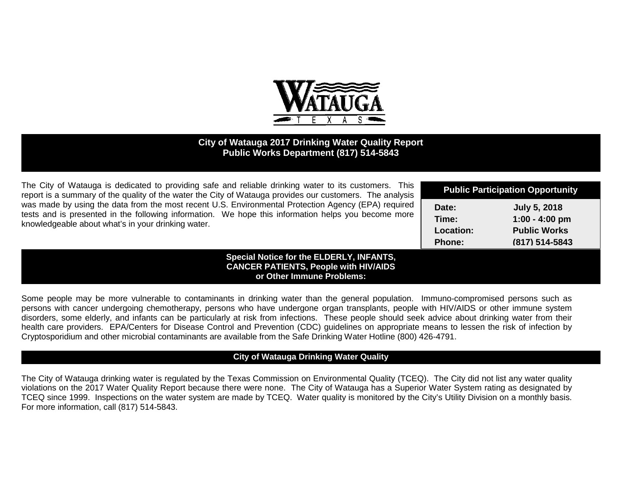

## **City of Watauga 2017 Drinking Water Quality Report Public Works Department (817) 514-5843**

| The City of Watauga is dedicated to providing safe and reliable drinking water to its customers. This<br>report is a summary of the quality of the water the City of Watauga provides our customers. The analysis                                                | <b>Public Participation Opportunity</b>      |                                                                                  |  |
|------------------------------------------------------------------------------------------------------------------------------------------------------------------------------------------------------------------------------------------------------------------|----------------------------------------------|----------------------------------------------------------------------------------|--|
| was made by using the data from the most recent U.S. Environmental Protection Agency (EPA) required<br>tests and is presented in the following information. We hope this information helps you become more<br>knowledgeable about what's in your drinking water. | Date:<br>Time:<br>Location:<br><b>Phone:</b> | <b>July 5, 2018</b><br>$1:00 - 4:00$ pm<br><b>Public Works</b><br>(817) 514-5843 |  |
| <b>Special Notice for the ELDERLY, INFANTS,</b><br><b>CANCER PATIENTS, People with HIV/AIDS</b><br>or Other Immune Problems:                                                                                                                                     |                                              |                                                                                  |  |

Some people may be more vulnerable to contaminants in drinking water than the general population. Immuno-compromised persons such as persons with cancer undergoing chemotherapy, persons who have undergone organ transplants, people with HIV/AIDS or other immune system disorders, some elderly, and infants can be particularly at risk from infections. These people should seek advice about drinking water from their health care providers. EPA/Centers for Disease Control and Prevention (CDC) guidelines on appropriate means to lessen the risk of infection by Cryptosporidium and other microbial contaminants are available from the Safe Drinking Water Hotline (800) 426-4791.

#### **City of Watauga Drinking Water Quality**

The City of Watauga drinking water is regulated by the Texas Commission on Environmental Quality (TCEQ). The City did not list any water quality violations on the 2017 Water Quality Report because there were none. The City of Watauga has a Superior Water System rating as designated by TCEQ since 1999. Inspections on the water system are made by TCEQ. Water quality is monitored by the City's Utility Division on a monthly basis. For more information, call (817) 514-5843.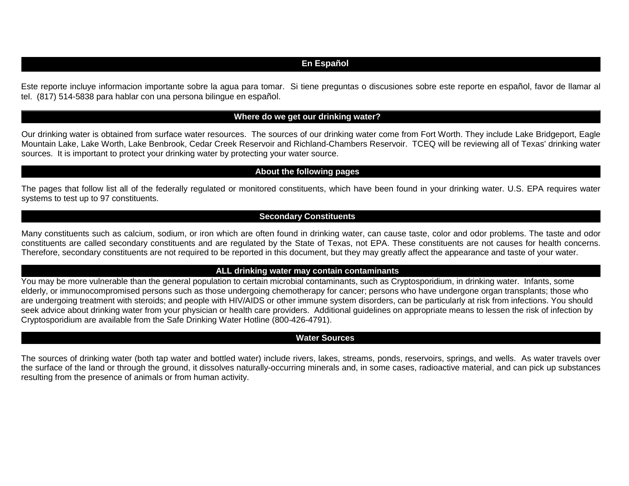## **En Español**

Este reporte incluye informacion importante sobre la agua para tomar. Si tiene preguntas o discusiones sobre este reporte en español, favor de llamar al tel. (817) 514-5838 para hablar con una persona bilingue en español.

#### **Where do we get our drinking water?**

Our drinking water is obtained from surface water resources. The sources of our drinking water come from Fort Worth. They include Lake Bridgeport, Eagle Mountain Lake, Lake Worth, Lake Benbrook, Cedar Creek Reservoir and Richland-Chambers Reservoir. TCEQ will be reviewing all of Texas' drinking water sources. It is important to protect your drinking water by protecting your water source.

## **About the following pages**

The pages that follow list all of the federally regulated or monitored constituents, which have been found in your drinking water. U.S. EPA requires water systems to test up to 97 constituents.

#### **Secondary Constituents**

Many constituents such as calcium, sodium, or iron which are often found in drinking water, can cause taste, color and odor problems. The taste and odor constituents are called secondary constituents and are regulated by the State of Texas, not EPA. These constituents are not causes for health concerns. Therefore, secondary constituents are not required to be reported in this document, but they may greatly affect the appearance and taste of your water.

#### **ALL drinking water may contain contaminants**

You may be more vulnerable than the general population to certain microbial contaminants, such as Cryptosporidium, in drinking water. Infants, some elderly, or immunocompromised persons such as those undergoing chemotherapy for cancer; persons who have undergone organ transplants; those who are undergoing treatment with steroids; and people with HIV/AIDS or other immune system disorders, can be particularly at risk from infections. You should seek advice about drinking water from your physician or health care providers. Additional guidelines on appropriate means to lessen the risk of infection by Cryptosporidium are available from the Safe Drinking Water Hotline (800-426-4791).

#### **Water Sources**

The sources of drinking water (both tap water and bottled water) include rivers, lakes, streams, ponds, reservoirs, springs, and wells. As water travels over the surface of the land or through the ground, it dissolves naturally-occurring minerals and, in some cases, radioactive material, and can pick up substances resulting from the presence of animals or from human activity.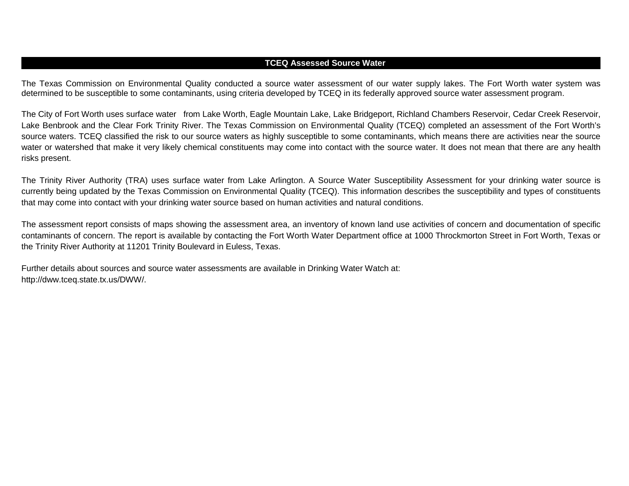#### **TCEQ Assessed Source Water**

The Texas Commission on Environmental Quality conducted a source water assessment of our water supply lakes. The Fort Worth water system was determined to be susceptible to some contaminants, using criteria developed by TCEQ in its federally approved source water assessment program.

The City of Fort Worth uses surface water from Lake Worth, Eagle Mountain Lake, Lake Bridgeport, Richland Chambers Reservoir, Cedar Creek Reservoir, Lake Benbrook and the Clear Fork Trinity River. The Texas Commission on Environmental Quality (TCEQ) completed an assessment of the Fort Worth's source waters. TCEQ classified the risk to our source waters as highly susceptible to some contaminants, which means there are activities near the source water or watershed that make it very likely chemical constituents may come into contact with the source water. It does not mean that there are any health risks present.

The Trinity River Authority (TRA) uses surface water from Lake Arlington. A Source Water Susceptibility Assessment for your drinking water source is currently being updated by the Texas Commission on Environmental Quality (TCEQ). This information describes the susceptibility and types of constituents that may come into contact with your drinking water source based on human activities and natural conditions.

The assessment report consists of maps showing the assessment area, an inventory of known land use activities of concern and documentation of specific contaminants of concern. The report is available by contacting the Fort Worth Water Department office at 1000 Throckmorton Street in Fort Worth, Texas or the Trinity River Authority at 11201 Trinity Boulevard in Euless, Texas.

Further details about sources and source water assessments are available in Drinking Water Watch at: http://dww.tceq.state.tx.us/DWW/.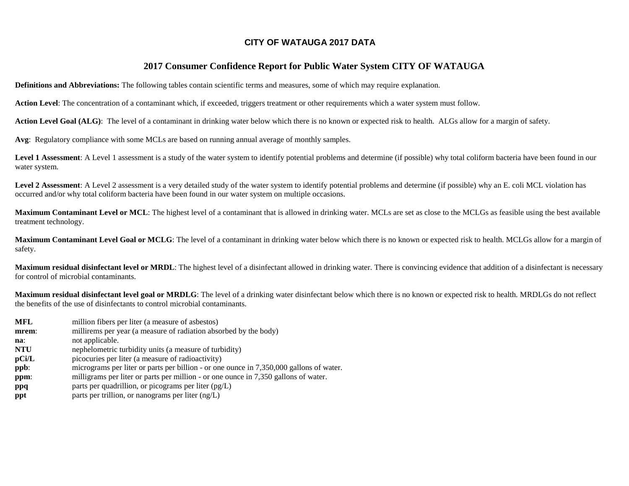### **CITY OF WATAUGA 2017 DATA**

### **2017 Consumer Confidence Report for Public Water System CITY OF WATAUGA**

**Definitions and Abbreviations:** The following tables contain scientific terms and measures, some of which may require explanation.

**Action Level**: The concentration of a contaminant which, if exceeded, triggers treatment or other requirements which a water system must follow.

Action Level Goal (ALG): The level of a contaminant in drinking water below which there is no known or expected risk to health. ALGs allow for a margin of safety.

**Avg**: Regulatory compliance with some MCLs are based on running annual average of monthly samples.

Level 1 Assessment: A Level 1 assessment is a study of the water system to identify potential problems and determine (if possible) why total coliform bacteria have been found in our water system.

Level 2 Assessment: A Level 2 assessment is a very detailed study of the water system to identify potential problems and determine (if possible) why an E. coli MCL violation has occurred and/or why total coliform bacteria have been found in our water system on multiple occasions.

**Maximum Contaminant Level or MCL**: The highest level of a contaminant that is allowed in drinking water. MCLs are set as close to the MCLGs as feasible using the best available treatment technology.

**Maximum Contaminant Level Goal or MCLG**: The level of a contaminant in drinking water below which there is no known or expected risk to health. MCLGs allow for a margin of safety.

**Maximum residual disinfectant level or MRDL**: The highest level of a disinfectant allowed in drinking water. There is convincing evidence that addition of a disinfectant is necessary for control of microbial contaminants.

**Maximum residual disinfectant level goal or MRDLG**: The level of a drinking water disinfectant below which there is no known or expected risk to health. MRDLGs do not reflect the benefits of the use of disinfectants to control microbial contaminants.

- **MFL** million fibers per liter (a measure of asbestos)
- **mrem**: millirems per year (a measure of radiation absorbed by the body)
- **na**: not applicable.
- **NTU** nephelometric turbidity units (a measure of turbidity)
- **pCi/L** picocuries per liter (a measure of radioactivity)
- **ppb**: micrograms per liter or parts per billion or one ounce in 7,350,000 gallons of water.
- **ppm**: milligrams per liter or parts per million or one ounce in 7,350 gallons of water.
- **ppq** parts per quadrillion, or picograms per liter (pg/L)
- **ppt** parts per trillion, or nanograms per liter (ng/L)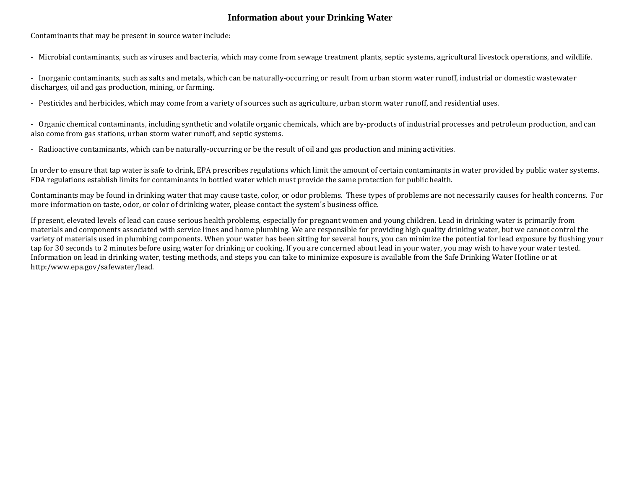## **Information about your Drinking Water**

Contaminants that may be present in source water include:

- Microbial contaminants, such as viruses and bacteria, which may come from sewage treatment plants, septic systems, agricultural livestock operations, and wildlife.

- Inorganic contaminants, such as salts and metals, which can be naturally-occurring or result from urban storm water runoff, industrial or domestic wastewater discharges, oil and gas production, mining, or farming.

- Pesticides and herbicides, which may come from a variety of sources such as agriculture, urban storm water runoff, and residential uses.

- Organic chemical contaminants, including synthetic and volatile organic chemicals, which are by-products of industrial processes and petroleum production, and can also come from gas stations, urban storm water runoff, and septic systems.

- Radioactive contaminants, which can be naturally-occurring or be the result of oil and gas production and mining activities.

In order to ensure that tap water is safe to drink, EPA prescribes regulations which limit the amount of certain contaminants in water provided by public water systems. FDA regulations establish limits for contaminants in bottled water which must provide the same protection for public health.

Contaminants may be found in drinking water that may cause taste, color, or odor problems. These types of problems are not necessarily causes for health concerns. For more information on taste, odor, or color of drinking water, please contact the system's business office.

If present, elevated levels of lead can cause serious health problems, especially for pregnant women and young children. Lead in drinking water is primarily from materials and components associated with service lines and home plumbing. We are responsible for providing high quality drinking water, but we cannot control the variety of materials used in plumbing components. When your water has been sitting for several hours, you can minimize the potential for lead exposure by flushing your tap for 30 seconds to 2 minutes before using water for drinking or cooking. If you are concerned about lead in your water, you may wish to have your water tested. Information on lead in drinking water, testing methods, and steps you can take to minimize exposure is available from the Safe Drinking Water Hotline or at http:/www.epa.gov/safewater/lead.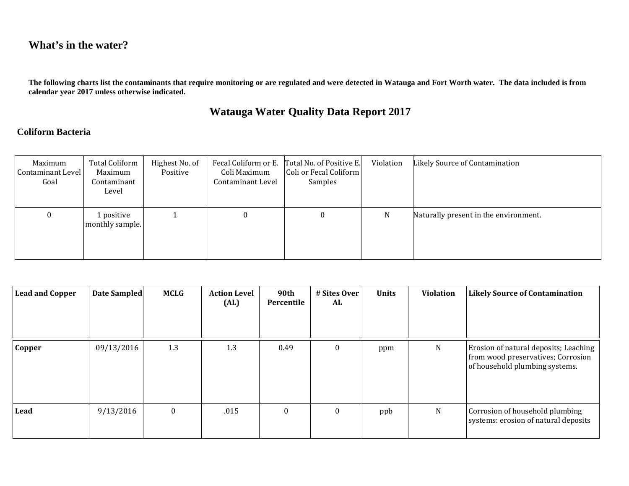## **What's in the water?**

**The following charts list the contaminants that require monitoring or are regulated and were detected in Watauga and Fort Worth water. The data included is from calendar year 2017 unless otherwise indicated.**

## **Watauga Water Quality Data Report 2017**

## **Coliform Bacteria**

| Maximum<br>Contaminant Level<br>Goal | Total Coliform<br>Maximum<br>Contaminant<br>Level | Highest No. of<br>Positive | Fecal Coliform or E.<br>Coli Maximum<br>Contaminant Level | Total No. of Positive E.<br>Coli or Fecal Coliform<br>Samples | Violation | Likely Source of Contamination        |
|--------------------------------------|---------------------------------------------------|----------------------------|-----------------------------------------------------------|---------------------------------------------------------------|-----------|---------------------------------------|
| 0                                    | 1 positive<br>monthly sample.                     |                            |                                                           | 0                                                             | N         | Naturally present in the environment. |

| <b>Lead and Copper</b> | Date Sampled | <b>MCLG</b>      | <b>Action Level</b><br>(AL) | 90th<br>Percentile | # Sites Over<br>AL | <b>Units</b> | <b>Violation</b> | <b>Likely Source of Contamination</b>                                                                         |
|------------------------|--------------|------------------|-----------------------------|--------------------|--------------------|--------------|------------------|---------------------------------------------------------------------------------------------------------------|
| Copper                 | 09/13/2016   | 1.3              | 1.3                         | 0.49               | $\theta$           | ppm          | N                | Erosion of natural deposits; Leaching<br>from wood preservatives; Corrosion<br>of household plumbing systems. |
| Lead                   | 9/13/2016    | $\boldsymbol{0}$ | .015                        | $\boldsymbol{0}$   | $\theta$           | ppb          | ${\bf N}$        | Corrosion of household plumbing<br>systems: erosion of natural deposits                                       |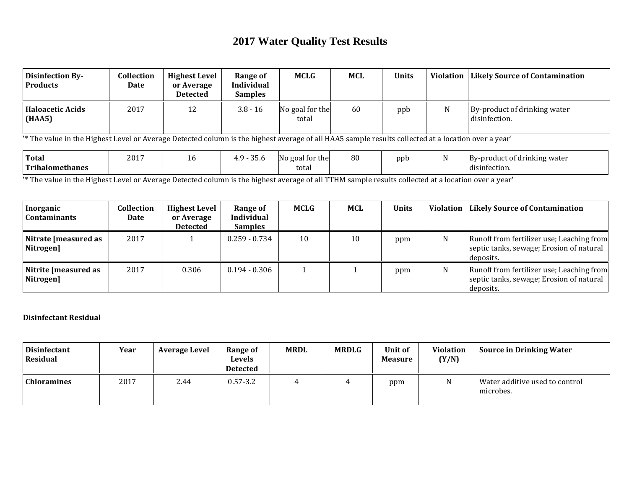# **2017 Water Quality Test Results**

| <b>Disinfection By-</b><br><b>Products</b>                                                                                                          | <b>Collection</b><br>Date                                                                                                                           | <b>Highest Level</b><br>or Average<br><b>Detected</b> | Range of<br><b>Individual</b><br><b>Samples</b> | <b>MCLG</b>              | <b>MCL</b> | <b>Units</b> | <b>Violation</b> | <b>Likely Source of Contamination</b>             |  |  |
|-----------------------------------------------------------------------------------------------------------------------------------------------------|-----------------------------------------------------------------------------------------------------------------------------------------------------|-------------------------------------------------------|-------------------------------------------------|--------------------------|------------|--------------|------------------|---------------------------------------------------|--|--|
| <b>Haloacetic Acids</b><br>(HAA5)                                                                                                                   | 2017                                                                                                                                                | 12                                                    | $3.8 - 16$                                      | No goal for the<br>total | 60         | ppb          | N                | By-product of drinking water<br>disinfection.     |  |  |
| '* The value in the Highest Level or Average Detected column is the highest average of all HAA5 sample results collected at a location over a year' |                                                                                                                                                     |                                                       |                                                 |                          |            |              |                  |                                                   |  |  |
| <b>Total</b><br><b>Trihalomethanes</b>                                                                                                              | 2017                                                                                                                                                | 16                                                    | $4.9 - 35.6$                                    | No goal for the<br>total | 80         | ppb          | N                | By-product of drinking water<br>disinfection.     |  |  |
|                                                                                                                                                     | '* The value in the Highest Level or Average Detected column is the highest average of all TTHM sample results collected at a location over a year' |                                                       |                                                 |                          |            |              |                  |                                                   |  |  |
| Inorganic                                                                                                                                           | <b>Collection</b>                                                                                                                                   | <b>Highest Level</b>                                  | Range of                                        | <b>MCLG</b>              | <b>MCL</b> | <b>Units</b> |                  | <b>Violation   Likely Source of Contamination</b> |  |  |

| -----------<br><b>Contaminants</b> | Date | or Average<br><b>Detected</b> | <b>Individual</b><br><b>Samples</b> |    |    |     |   | -------------------                                                                                |
|------------------------------------|------|-------------------------------|-------------------------------------|----|----|-----|---|----------------------------------------------------------------------------------------------------|
| Nitrate [measured as<br>Nitrogen]  | 2017 |                               | $0.259 - 0.734$                     | 10 | 10 | ppm | N | Runoff from fertilizer use; Leaching from<br>septic tanks, sewage; Erosion of natural<br>deposits. |
| Nitrite [measured as<br>Nitrogen]  | 2017 | 0.306                         | $0.194 - 0.306$                     |    |    | ppm | N | Runoff from fertilizer use; Leaching from<br>septic tanks, sewage; Erosion of natural<br>deposits. |

## **Disinfectant Residual**

| <b>Disinfectant</b><br>Residual | Year | <b>Average Level</b> | <b>Range of</b><br>Levels<br><b>Detected</b> | <b>MRDL</b> | <b>MRDLG</b> | Unit of<br><b>Measure</b> | Violation<br>(Y/N) | Source in Drinking Water                    |
|---------------------------------|------|----------------------|----------------------------------------------|-------------|--------------|---------------------------|--------------------|---------------------------------------------|
| <b>Chloramines</b>              | 2017 | 2.44                 | $0.57 - 3.2$                                 |             |              | ppm                       | N                  | Water additive used to control<br>microbes. |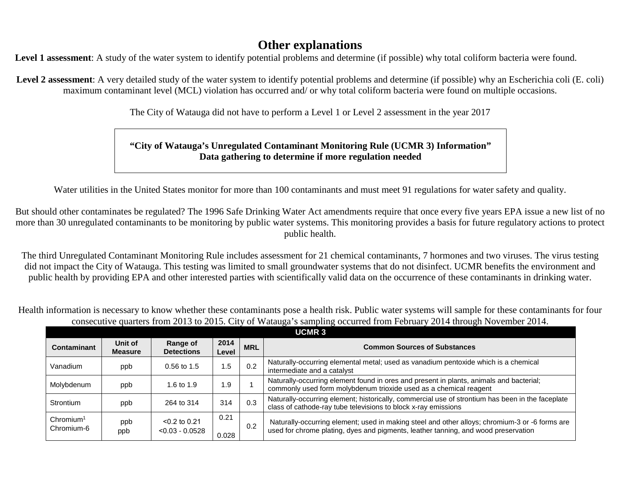## **Other explanations**

**Level 1 assessment**: A study of the water system to identify potential problems and determine (if possible) why total coliform bacteria were found.

Level 2 assessment: A very detailed study of the water system to identify potential problems and determine (if possible) why an Escherichia coli (E. coli) maximum contaminant level (MCL) violation has occurred and/ or why total coliform bacteria were found on multiple occasions.

The City of Watauga did not have to perform a Level 1 or Level 2 assessment in the year 2017

## **"City of Watauga's Unregulated Contaminant Monitoring Rule (UCMR 3) Information" Data gathering to determine if more regulation needed**

Water utilities in the United States monitor for more than 100 contaminants and must meet 91 regulations for water safety and quality.

But should other contaminates be regulated? The 1996 Safe Drinking Water Act amendments require that once every five years EPA issue a new list of no more than 30 unregulated contaminants to be monitoring by public water systems. This monitoring provides a basis for future regulatory actions to protect public health.

The third Unregulated Contaminant Monitoring Rule includes assessment for 21 chemical contaminants, 7 hormones and two viruses. The virus testing did not impact the City of Watauga. This testing was limited to small groundwater systems that do not disinfect. UCMR benefits the environment and public health by providing EPA and other interested parties with scientifically valid data on the occurrence of these contaminants in drinking water.

Health information is necessary to know whether these contaminants pose a health risk. Public water systems will sample for these contaminants for four consecutive quarters from 2013 to 2015. City of Watauga's sampling occurred from February 2014 through November 2014.

|                                     | <b>UCMR3</b>              |                                      |               |            |                                                                                                                                                                                      |  |  |  |  |  |
|-------------------------------------|---------------------------|--------------------------------------|---------------|------------|--------------------------------------------------------------------------------------------------------------------------------------------------------------------------------------|--|--|--|--|--|
| Contaminant                         | Unit of<br><b>Measure</b> | Range of<br><b>Detections</b>        | 2014<br>Level | <b>MRL</b> | <b>Common Sources of Substances</b>                                                                                                                                                  |  |  |  |  |  |
| Vanadium                            | ppb                       | $0.56$ to 1.5                        | 1.5           | 0.2        | Naturally-occurring elemental metal; used as vanadium pentoxide which is a chemical<br>intermediate and a catalyst                                                                   |  |  |  |  |  |
| Molybdenum                          | ppb                       | 1.6 to 1.9                           | 1.9           |            | Naturally-occurring element found in ores and present in plants, animals and bacterial;<br>commonly used form molybdenum trioxide used as a chemical reagent                         |  |  |  |  |  |
| Strontium                           | ppb                       | 264 to 314                           | 314           | 0.3        | Naturally-occurring element; historically, commercial use of strontium has been in the faceplate<br>class of cathode-ray tube televisions to block x-ray emissions                   |  |  |  |  |  |
| Chromium <sup>1</sup><br>Chromium-6 | ppb<br>ppb                | $< 0.2$ to 0.21<br>$< 0.03 - 0.0528$ | 0.21<br>0.028 | 0.2        | Naturally-occurring element; used in making steel and other alloys; chromium-3 or -6 forms are<br>used for chrome plating, dyes and pigments, leather tanning, and wood preservation |  |  |  |  |  |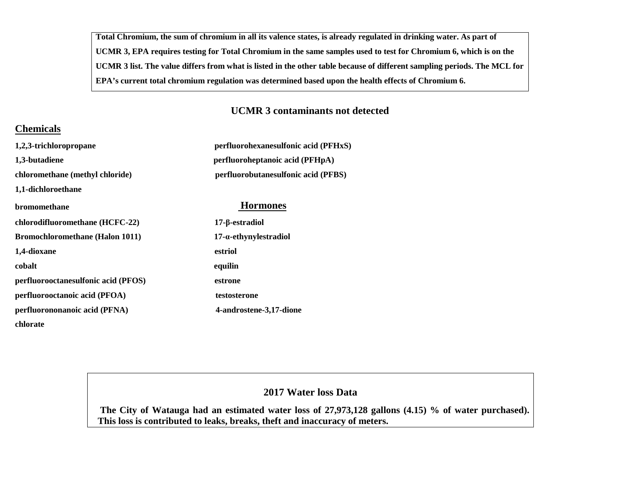**Total Chromium, the sum of chromium in all its valence states, is already regulated in drinking water. As part of UCMR 3, EPA requires testing for Total Chromium in the same samples used to test for Chromium 6, which is on the UCMR 3 list. The value differs from what is listed in the other table because of different sampling periods. The MCL for EPA's current total chromium regulation was determined based upon the health effects of Chromium 6.**

## **UCMR 3 contaminants not detected**

## **Chemicals**

| 1,2,3-trichloropropane                 | perfluorohexanesulfonic acid (PFHxS) |  |  |  |  |  |
|----------------------------------------|--------------------------------------|--|--|--|--|--|
| 1,3-butadiene                          | perfluoroheptanoic acid (PFHpA)      |  |  |  |  |  |
| chloromethane (methyl chloride)        | perfluorobutanesulfonic acid (PFBS)  |  |  |  |  |  |
| 1,1-dichloroethane                     |                                      |  |  |  |  |  |
| <b>bromomethane</b>                    | <b>Hormones</b>                      |  |  |  |  |  |
| chlorodifluoromethane (HCFC-22)        | $17$ -β-estradiol                    |  |  |  |  |  |
| <b>Bromochloromethane (Halon 1011)</b> | $17$ - $\alpha$ -ethynylestradiol    |  |  |  |  |  |
| 1,4-dioxane                            | estriol                              |  |  |  |  |  |
| cobalt                                 | equilin                              |  |  |  |  |  |
| perfluorooctanesulfonic acid (PFOS)    | estrone                              |  |  |  |  |  |
| perfluorooctanoic acid (PFOA)          | testosterone                         |  |  |  |  |  |
| perfluorononanoic acid (PFNA)          | 4-androstene-3,17-dione              |  |  |  |  |  |
| chlorate                               |                                      |  |  |  |  |  |

## **2017 Water loss Data**

**The City of Watauga had an estimated water loss of 27,973,128 gallons (4.15) % of water purchased). This loss is contributed to leaks, breaks, theft and inaccuracy of meters.**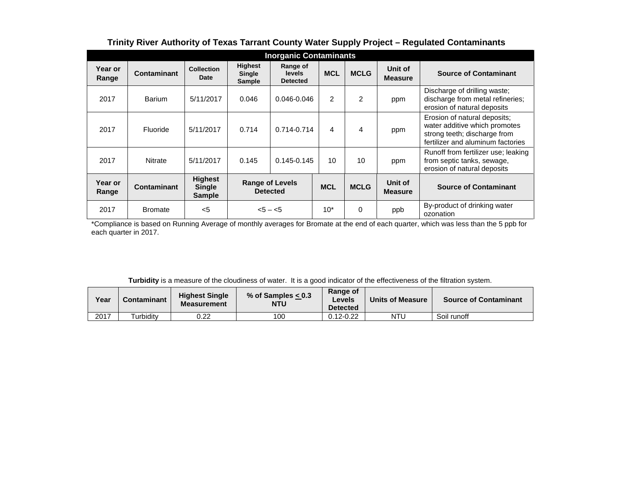| <b>Inorganic Contaminants</b> |                |                                                  |                                           |                                              |                |             |                           |                                                                                                                                    |
|-------------------------------|----------------|--------------------------------------------------|-------------------------------------------|----------------------------------------------|----------------|-------------|---------------------------|------------------------------------------------------------------------------------------------------------------------------------|
| Year or<br>Range              | Contaminant    | <b>Collection</b><br>Date                        | <b>Highest</b><br>Single<br><b>Sample</b> | Range of<br><b>levels</b><br><b>Detected</b> | <b>MCL</b>     | <b>MCLG</b> | Unit of<br><b>Measure</b> | <b>Source of Contaminant</b>                                                                                                       |
| 2017                          | <b>Barium</b>  | 5/11/2017                                        | 0.046                                     | $0.046 - 0.046$                              | $\overline{2}$ | 2           | ppm                       | Discharge of drilling waste;<br>discharge from metal refineries;<br>erosion of natural deposits                                    |
| 2017                          | Fluoride       | 5/11/2017                                        | 0.714                                     | $0.714 - 0.714$                              | 4              | 4           | ppm                       | Erosion of natural deposits;<br>water additive which promotes<br>strong teeth; discharge from<br>fertilizer and aluminum factories |
| 2017                          | <b>Nitrate</b> | 5/11/2017                                        | 0.145                                     | $0.145 - 0.145$                              | 10             | 10          | ppm                       | Runoff from fertilizer use; leaking<br>from septic tanks, sewage,<br>erosion of natural deposits                                   |
| Year or<br>Range              | Contaminant    | <b>Highest</b><br><b>Single</b><br><b>Sample</b> | <b>Range of Levels</b><br><b>Detected</b> |                                              | <b>MCL</b>     | <b>MCLG</b> | Unit of<br><b>Measure</b> | <b>Source of Contaminant</b>                                                                                                       |
| 2017                          | <b>Bromate</b> | $<$ 5                                            |                                           | $< 5 - < 5$                                  | $10*$          | $\Omega$    | ppb                       | By-product of drinking water<br>ozonation                                                                                          |

## **Trinity River Authority of Texas Tarrant County Water Supply Project – Regulated Contaminants**

\*Compliance is based on Running Average of monthly averages for Bromate at the end of each quarter, which was less than the 5 ppb for each quarter in 2017.

| Turbidity is a measure of the cloudiness of water. It is a good indicator of the effectiveness of the filtration system. |  |  |
|--------------------------------------------------------------------------------------------------------------------------|--|--|
|--------------------------------------------------------------------------------------------------------------------------|--|--|

| Year | <b>Contaminant</b> | <b>Highest Single</b><br><b>Measurement</b> | % of Samples $< 0.3$<br><b>NTU</b> | Range of<br>Levels<br><b>Detected</b> | <b>Units of Measure</b> | <b>Source of Contaminant</b> |
|------|--------------------|---------------------------------------------|------------------------------------|---------------------------------------|-------------------------|------------------------------|
| 2017 | urbidity           | 0.22                                        | 100                                | $0.12 - 0.22$                         | NTU                     | Soil runoff                  |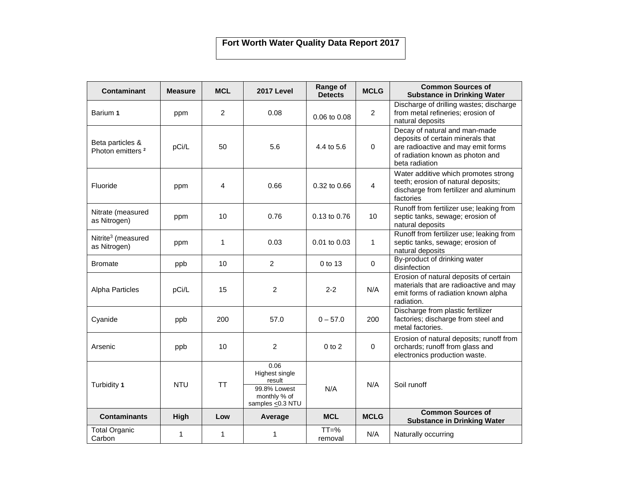## **Fort Worth Water Quality Data Report 2017**

| <b>Contaminant</b>                               | <b>Measure</b> | <b>MCL</b>     | 2017 Level                                                                           | Range of<br><b>Detects</b> | <b>MCLG</b>    | <b>Common Sources of</b><br><b>Substance in Drinking Water</b>                                                                                                 |
|--------------------------------------------------|----------------|----------------|--------------------------------------------------------------------------------------|----------------------------|----------------|----------------------------------------------------------------------------------------------------------------------------------------------------------------|
| Barium 1                                         | ppm            | $\overline{2}$ | 0.08                                                                                 | 0.06 to 0.08               | $\overline{2}$ | Discharge of drilling wastes; discharge<br>from metal refineries; erosion of<br>natural deposits                                                               |
| Beta particles &<br>Photon emitters <sup>2</sup> | pCi/L          | 50             | 5.6                                                                                  | 4.4 to 5.6                 | 0              | Decay of natural and man-made<br>deposits of certain minerals that<br>are radioactive and may emit forms<br>of radiation known as photon and<br>beta radiation |
| Fluoride                                         | ppm            | 4              | 0.66                                                                                 | $0.32$ to $0.66$           | 4              | Water additive which promotes strong<br>teeth; erosion of natural deposits;<br>discharge from fertilizer and aluminum<br>factories                             |
| Nitrate (measured<br>as Nitrogen)                | ppm            | 10             | 0.76                                                                                 | 0.13 to 0.76               | 10             | Runoff from fertilizer use; leaking from<br>septic tanks, sewage; erosion of<br>natural deposits                                                               |
| Nitrite <sup>3</sup> (measured<br>as Nitrogen)   | ppm            | 1              | 0.03                                                                                 | 0.01 to 0.03               | 1              | Runoff from fertilizer use; leaking from<br>septic tanks, sewage; erosion of<br>natural deposits                                                               |
| <b>Bromate</b>                                   | ppb            | 10             | $\overline{c}$                                                                       | 0 to 13                    | 0              | By-product of drinking water<br>disinfection                                                                                                                   |
| <b>Alpha Particles</b>                           | pCi/L          | 15             | $\overline{c}$                                                                       | $2 - 2$                    | N/A            | Erosion of natural deposits of certain<br>materials that are radioactive and may<br>emit forms of radiation known alpha<br>radiation.                          |
| Cyanide                                          | ppb            | 200            | 57.0                                                                                 | $0 - 57.0$                 | 200            | Discharge from plastic fertilizer<br>factories; discharge from steel and<br>metal factories.                                                                   |
| Arsenic                                          | ppb            | 10             | $\overline{2}$                                                                       | $0$ to $2$                 | $\Omega$       | Erosion of natural deposits; runoff from<br>orchards; runoff from glass and<br>electronics production waste.                                                   |
| Turbidity 1                                      | <b>NTU</b>     | <b>TT</b>      | 0.06<br>Highest single<br>result<br>99.8% Lowest<br>monthly % of<br>samples <0.3 NTU | N/A                        | N/A            | Soil runoff                                                                                                                                                    |
| <b>Contaminants</b>                              | High           | Low            | Average                                                                              | <b>MCL</b>                 | <b>MCLG</b>    | <b>Common Sources of</b><br><b>Substance in Drinking Water</b>                                                                                                 |
| <b>Total Organic</b><br>Carbon                   | 1              | 1              | 1                                                                                    | $TT = %$<br>removal        | N/A            | Naturally occurring                                                                                                                                            |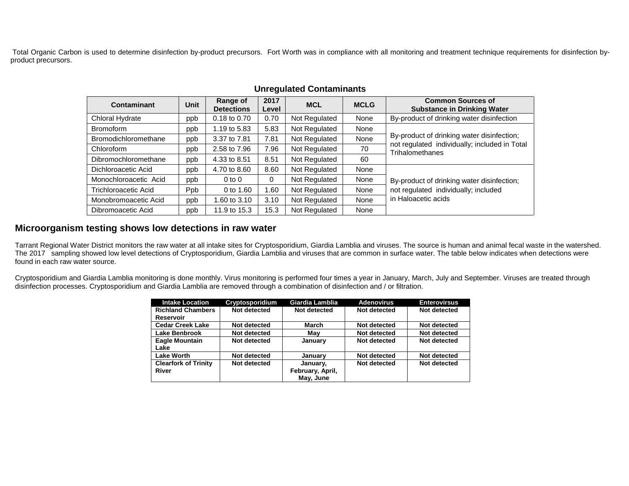Total Organic Carbon is used to determine disinfection by-product precursors. Fort Worth was in compliance with all monitoring and treatment technique requirements for disinfection byproduct precursors.

| Contaminant           | <b>Unit</b> | Range of<br><b>Detections</b> | 2017<br>Level | <b>MCL</b>    | <b>MCLG</b> | <b>Common Sources of</b><br><b>Substance in Drinking Water</b>   |  |
|-----------------------|-------------|-------------------------------|---------------|---------------|-------------|------------------------------------------------------------------|--|
| Chloral Hydrate       | ppb         | 0.18 to 0.70                  | 0.70          | Not Regulated | None        | By-product of drinking water disinfection                        |  |
| <b>Bromoform</b>      | ppb         | 1.19 to 5.83                  | 5.83          | Not Regulated | None        |                                                                  |  |
| Bromodichloromethane  | ppb         | 3.37 to 7.81                  | 7.81          | Not Regulated | None        | By-product of drinking water disinfection;                       |  |
| Chloroform            | ppb         | 2.58 to 7.96                  | 7.96          | Not Regulated | 70          | not regulated individually; included in Total<br>Trihalomethanes |  |
| Dibromochloromethane  | ppb         | 4.33 to 8.51                  | 8.51          | Not Regulated | 60          |                                                                  |  |
| Dichloroacetic Acid   | ppb         | 4.70 to 8.60                  | 8.60          | Not Regulated | None        |                                                                  |  |
| Monochloroacetic Acid | ppb         | $0$ to $0$                    | 0             | Not Regulated | None        | By-product of drinking water disinfection;                       |  |
| Trichloroacetic Acid  | Ppb         | 0 to $1.60$                   | 1.60          | Not Regulated | None        | not regulated individually; included                             |  |
| Monobromoacetic Acid  | ppb         | 1.60 to 3.10                  | 3.10          | Not Regulated | None        | in Haloacetic acids                                              |  |
| Dibromoacetic Acid    | ppb         | 11.9 to 15.3                  | 15.3          | Not Regulated | None        |                                                                  |  |

### **Unregulated Contaminants**

#### **Microorganism testing shows low detections in raw water**

Tarrant Regional Water District monitors the raw water at all intake sites for Cryptosporidium, Giardia Lamblia and viruses. The source is human and animal fecal waste in the watershed. The 2017 sampling showed low level detections of Cryptosporidium, Giardia Lamblia and viruses that are common in surface water. The table below indicates when detections were found in each raw water source.

Cryptosporidium and Giardia Lamblia monitoring is done monthly. Virus monitoring is performed four times a year in January, March, July and September. Viruses are treated through disinfection processes. Cryptosporidium and Giardia Lamblia are removed through a combination of disinfection and / or filtration.

| <b>Intake Location</b>      | Cryptosporidium | Giardia Lamblia  | <b>Adenovirus</b> | <b>Enterovirsus</b> |
|-----------------------------|-----------------|------------------|-------------------|---------------------|
| <b>Richland Chambers</b>    | Not detected    | Not detected     | Not detected      | Not detected        |
| <b>Reservoir</b>            |                 |                  |                   |                     |
| <b>Cedar Creek Lake</b>     | Not detected    | March            | Not detected      | Not detected        |
| Lake Benbrook               | Not detected    | Mav              | Not detected      | Not detected        |
| <b>Eagle Mountain</b>       | Not detected    | January          | Not detected      | Not detected        |
| Lake                        |                 |                  |                   |                     |
| <b>Lake Worth</b>           | Not detected    | January          | Not detected      | Not detected        |
| <b>Clearfork of Trinity</b> | Not detected    | January.         | Not detected      | Not detected        |
| River                       |                 | February, April, |                   |                     |
|                             |                 | May, June        |                   |                     |